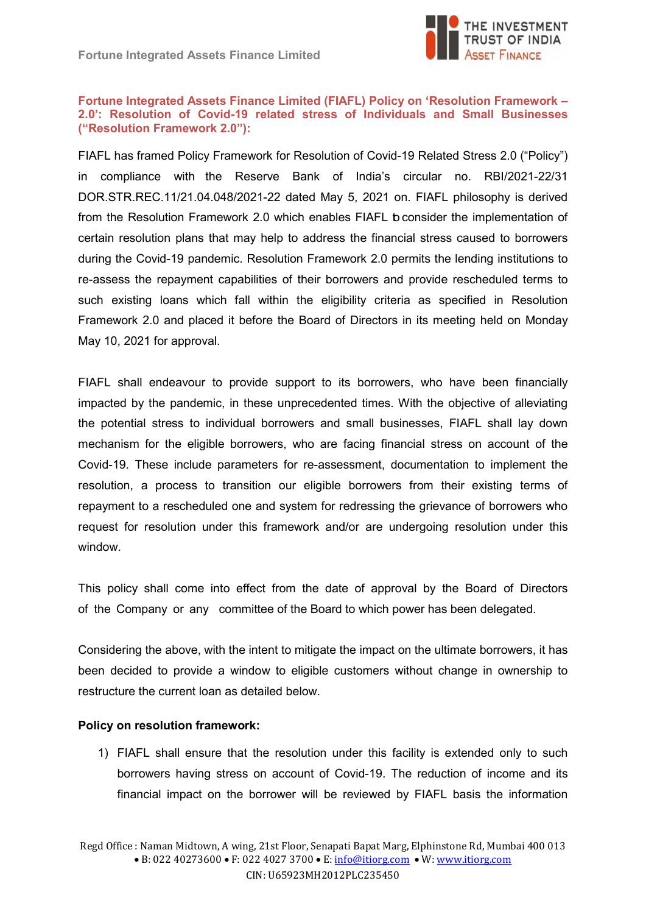

## Fortune Integrated Assets Finance Limited (FIAFL) Policy on 'Resolution Framework – 2.0': Resolution of Covid-19 related stress of Individuals and Small Businesses ("Resolution Framework 2.0"):

FIAFL has framed Policy Framework for Resolution of Covid-19 Related Stress 2.0 ("Policy") in compliance with the Reserve Bank of India's circular no. RBI/2021-22/31 DOR.STR.REC.11/21.04.048/2021-22 dated May 5, 2021 on. FIAFL philosophy is derived from the Resolution Framework 2.0 which enables FIAFL b consider the implementation of certain resolution plans that may help to address the financial stress caused to borrowers during the Covid-19 pandemic. Resolution Framework 2.0 permits the lending institutions to re-assess the repayment capabilities of their borrowers and provide rescheduled terms to such existing loans which fall within the eligibility criteria as specified in Resolution Framework 2.0 and placed it before the Board of Directors in its meeting held on Monday May 10, 2021 for approval.

FIAFL shall endeavour to provide support to its borrowers, who have been financially impacted by the pandemic, in these unprecedented times. With the objective of alleviating the potential stress to individual borrowers and small businesses, FIAFL shall lay down mechanism for the eligible borrowers, who are facing financial stress on account of the Covid-19. These include parameters for re-assessment, documentation to implement the resolution, a process to transition our eligible borrowers from their existing terms of repayment to a rescheduled one and system for redressing the grievance of borrowers who request for resolution under this framework and/or are undergoing resolution under this window.

This policy shall come into effect from the date of approval by the Board of Directors of the Company or any committee of the Board to which power has been delegated.

Considering the above, with the intent to mitigate the impact on the ultimate borrowers, it has been decided to provide a window to eligible customers without change in ownership to restructure the current loan as detailed below.

## Policy on resolution framework:

1) FIAFL shall ensure that the resolution under this facility is extended only to such borrowers having stress on account of Covid-19. The reduction of income and its financial impact on the borrower will be reviewed by FIAFL basis the information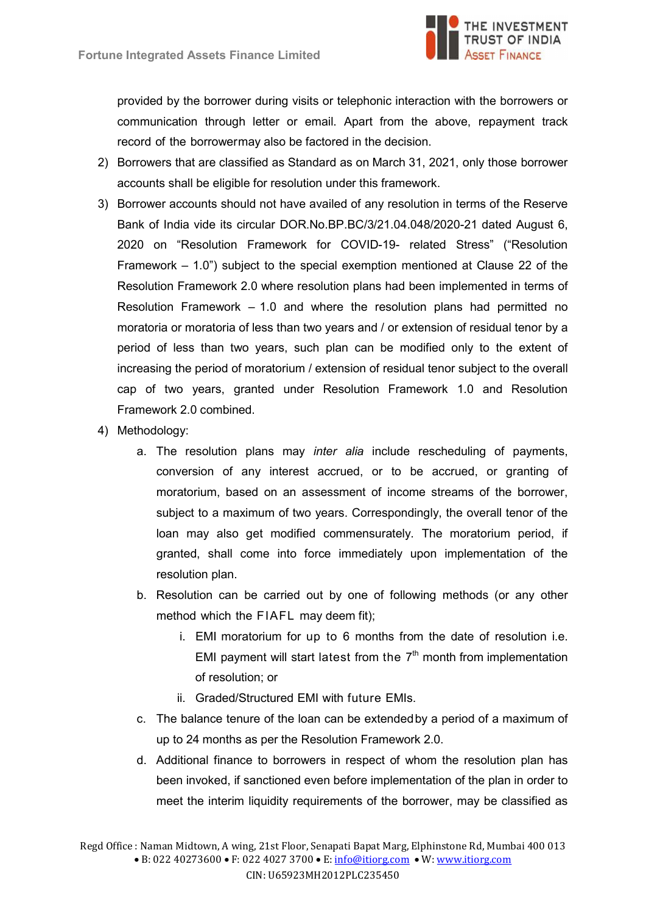

provided by the borrower during visits or telephonic interaction with the borrowers or communication through letter or email. Apart from the above, repayment track record of the borrower may also be factored in the decision.

- 2) Borrowers that are classified as Standard as on March 31, 2021, only those borrower accounts shall be eligible for resolution under this framework.
- 3) Borrower accounts should not have availed of any resolution in terms of the Reserve Bank of India vide its circular DOR.No.BP.BC/3/21.04.048/2020-21 dated August 6, 2020 on "Resolution Framework for COVID-19- related Stress" ("Resolution Framework – 1.0") subject to the special exemption mentioned at Clause 22 of the Resolution Framework 2.0 where resolution plans had been implemented in terms of Resolution Framework – 1.0 and where the resolution plans had permitted no moratoria or moratoria of less than two years and / or extension of residual tenor by a period of less than two years, such plan can be modified only to the extent of increasing the period of moratorium / extension of residual tenor subject to the overall cap of two years, granted under Resolution Framework 1.0 and Resolution Framework 2.0 combined.
- 4) Methodology:
	- a. The resolution plans may inter alia include rescheduling of payments, conversion of any interest accrued, or to be accrued, or granting of moratorium, based on an assessment of income streams of the borrower, subject to a maximum of two years. Correspondingly, the overall tenor of the loan may also get modified commensurately. The moratorium period, if granted, shall come into force immediately upon implementation of the resolution plan.
	- b. Resolution can be carried out by one of following methods (or any other method which the FIAFL may deem fit);
		- i. EMI moratorium for up to 6 months from the date of resolution i.e. EMI payment will start latest from the  $7<sup>th</sup>$  month from implementation of resolution; or
		- ii. Graded/Structured EMI with future EMIs.
	- c. The balance tenure of the loan can be extended by a period of a maximum of up to 24 months as per the Resolution Framework 2.0.
	- d. Additional finance to borrowers in respect of whom the resolution plan has been invoked, if sanctioned even before implementation of the plan in order to meet the interim liquidity requirements of the borrower, may be classified as